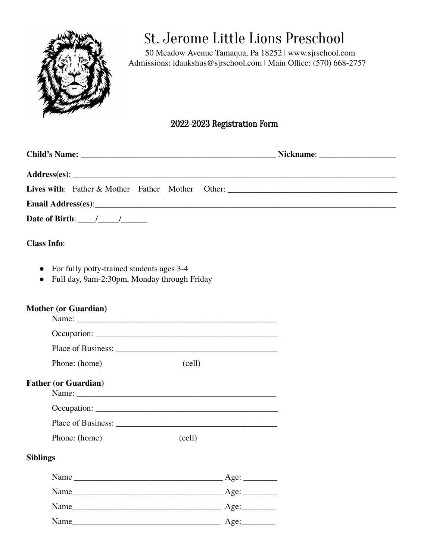

## St. Jerome Little Lions Preschool

50 Meadow Avenue Tamaqua, Pa 18252 | www.sjrschool.com Admissions: ldaukshus@sjrschool.com | Main Office: (570) 668-2757

## 2022-2023 Registration Form

| Lives with: Father & Mother Father Mother Other: ________________________________                                  |                               |
|--------------------------------------------------------------------------------------------------------------------|-------------------------------|
|                                                                                                                    |                               |
| Date of Birth: $\frac{1}{2}$                                                                                       |                               |
| <b>Class Info:</b>                                                                                                 |                               |
| For fully potty-trained students ages 3-4<br>$\bullet$<br>Full day, 9am-2:30pm, Monday through Friday<br>$\bullet$ |                               |
| <b>Mother (or Guardian)</b>                                                                                        |                               |
|                                                                                                                    |                               |
|                                                                                                                    |                               |
| Phone: (home)<br>(cell)                                                                                            |                               |
| <b>Father (or Guardian)</b>                                                                                        |                               |
|                                                                                                                    |                               |
|                                                                                                                    |                               |
| Phone: (home)<br>(cell)                                                                                            |                               |
| <b>Siblings</b>                                                                                                    |                               |
| Name                                                                                                               | Age:                          |
|                                                                                                                    | Age:                          |
|                                                                                                                    |                               |
|                                                                                                                    | $\overline{\phantom{a}}$ Age: |